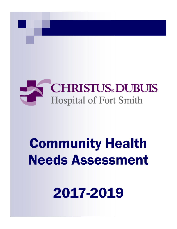

# **Community Health Needs Assessment**

2017-2019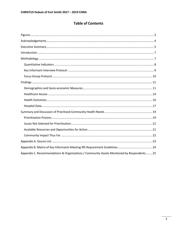# **Table of Contents**

| Appendix C. Recommendations & Organizations / Community Assets Mentioned by Respondents25 |
|-------------------------------------------------------------------------------------------|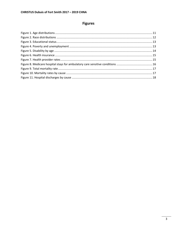# **Figures**

<span id="page-2-0"></span>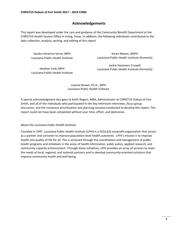# **Acknowledgements**

This report was developed under the care and guidance of the Community Benefit Department at the CHRISTUS Health System Office in Irving, Texas. In addition, the following individuals contributed to the data collection, analysis, writing, and editing of this report.

Sandra Veronica Serna, MPH Louisiana Public Health Institute

Karen Mason, MSPH Louisiana Public Health Institute (formerly)

Heather Farb, MPH Louisiana Public Health Institute

Jackie Hammers-Crowell Louisiana Public Health Institute (formerly)

Lisanne Brown, Ph.D., MPH Louisiana Public Health Institute

A special acknowledgment also goes to Keith Rogers, MBA, Administrator at CHRISTUS Dubuis of Fort Smith, and all of the individuals who participated in the key informant interviews, focus group discussion, and the numerous prioritization and planning sessions conducted to develop this report. This report could not have been completed without your time, effort, and dedication.

#### *About the Louisiana Public Health Institute:*

Founded in 1997, Louisiana Public Health Institute (LPHI) is a 501(c)(3) nonprofit organization that serves as a partner and convener to improve population-level health outcomes. LPHI's mission is to improve health and quality of life for all. This is achieved through the coordination and management of public health programs and initiatives in the areas of health information, public policy, applied research, and community capacity enhancement. Through these initiatives, LPHI provides an array of services to meet the needs of local, regional, and national partners and to develop community-oriented solutions that improve community health and well-being.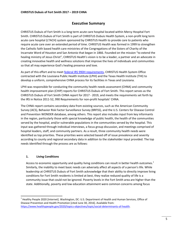# **Executive Summary**

CHRISTUS Dubuis of Fort Smith is a long term acute care hospital located within Mercy Hospital Fort Smith. CHRISTUS Dubuis of Fort Smith is part of CHRISTUS Dubuis Health System, a non-profit long term acute care hospital (LTACH) system sponsored by CHRISTUS Health to provide care to patients who require acute care over an extended period of time. CHRISTUS Health was formed in 1999 to strengthen the Catholic faith based health care ministries of the Congregations of the Sisters of Charity of the Incarnate Word of Houston and San Antonio that began in 1866. Founded on the mission "to extend the healing ministry of Jesus Christ", CHRISTUS Health's vision is to be a leader, a partner and an advocate in creating innovative health and wellness solutions that improve the lives of individuals and communities so that all may experience God's healing presence and love.

As part of this effort and to meet [federal IRS 990H requirements,](https://www.irs.gov/uac/About-Schedule-H-Form-990) CHRISTUS Health System Office contracted with the Louisiana Public Health Institute (LPHI) and the Texas Health Institute (THI) to develop a uniform, comprehensive CHNA process for its facilities in Texas and Louisiana.

LPHI was responsible for conducting the community health needs assessment (CHNA) and community health improvement plan (CHIP) reports for CHRISTUS Dubuis of Fort Smith. This report serves as the CHRISTUS Dubuis of Fort Smith CHNA report for 2017 - 2019, and meets the requirements set forth by the IRS in Notice 2011-52, 990 Requirements for non-profit hospitals' CHNA.

The CHNA report contains secondary data from existing sources, such as the American Community Survey (ACS), Behavior Risk Factor Surveillance Survey (BRFSS), and the U.S. Centers for Disease Control and Prevention WONDER database, among others. This report also includes input from key informants in the region, particularly those with special knowledge of public health, the health of the communities served by the hospital, and/or vulnerable populations in the communities served by the hospital. This input was gathered through individual interviews, a focus group discussion, and meetings comprised of hospital leaders, staff, and community partners. As a result, three community health needs were identified as top priorities. These priorities were selected based off of issue prevalence and severity according to county and regional secondary data in addition to the stakeholder input provided. The top needs identified through the process are as follows:

# **1. Living Conditions**

 $\overline{\phantom{a}}$ 

Access to economic opportunity and quality living conditions can result in better health outcomes.<sup>1</sup> Similarly, the inability to meet basic needs can adversely affect all aspects of a person's life. While leadership at CHRISTUS Dubuis of Fort Smith acknowledge that their ability to directly improve living conditions for Fort Smith residents is limited at best, they realize reduced quality of life is a community issue that could not be ignored. Poverty levels in the Fort Smith area are higher than the state. Additionally, poverty and low education attainment were common concerns among focus

<sup>&</sup>lt;sup>1</sup> Healthy People 2020 [Internet]. Washington, DC: U.S. Department of Health and Human Services, Office of Disease Prevention and Health Promotion [cited June 30, 2016]. Available from: [https://www.healthypeople.gov/2020/topics-objectives/topic/social-determinants-of-health.](https://www.healthypeople.gov/2020/topics-objectives/topic/social-determinants-of-health)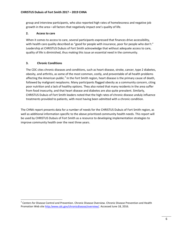group and interview participants, who also reported high rates of homelessness and negative job growth in the area—all factors that negatively impact one's quality of life.

#### **2. Access to care**

When it comes to access to care, several participants expressed that finances drive accessibility, with health care quality described as "good for people with insurance, poor for people who don't." Leadership at CHRISTUS Dubuis of Fort Smith acknowledge that without adequate access to care, quality of life is diminished, thus making this issue an essential need in the community.

#### **3. Chronic Conditions**

l

The CDC cites chronic diseases and conditions, such as heart disease, stroke, cancer, type 2 diabetes, obesity, and arthritis, as some of the most common, costly, and preventable of all health problems affecting the American public.<sup>2</sup> In the Fort Smith region, heart disease is the primary cause of death, followed by malignant neoplasms. Many participants flagged obesity as a community concern, citing poor nutrition and a lack of healthy options. They also noted that many residents in the area suffer from food insecurity, and that heart disease and diabetes are also quite prevalent. Similarly, CHRISTUS Dubuis of Fort Smith leaders noted that the high rates of chronic disease unduly influence treatments provided to patients, with most having been admitted with a chronic condition.

The CHNA report presents data for a number of needs for the CHRISTUS Dubuis of Fort Smith region, as well as additional information specific to the above prioritized community health needs. This report will be used by CHRISTUS Dubuis of Fort Smith as a resource to developing implementation strategies to improve community health over the next three years.

 $2$  Centers for Disease Control and Prevention. Chronic Disease Overview. Chronic Disease Prevention and Health Promotion Web site [http:/www.cdc.gov/chronicdisease/overview/.](http://www.cdc.gov/chronicdisease/overview/) Accessed June 18, 2016.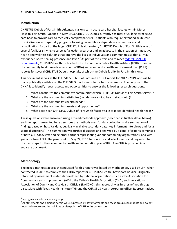#### **Introduction**

CHRISTUS Dubuis of Fort Smith, Arkansas is a long term acute care hospital located within Mercy Hospital Fort Smith. Opened in May 1993, CHRISTUS Dubuis currently has total of 25 long-term acute care beds to provide care to medically complex patients—patients who require extended acute care hospitalization with specialty programs focusing on ventilator dependency, wound care, and rehabilitation. As part of the larger CHRISTUS Health system, CHRISTUS Dubuis of Fort Smith is one of several facilities striving to serve as "a leader, a partner and an advocate in the creation of innovative health and wellness solutions that improve the lives of individuals and communities so that all may experience God's healing presence and love."<sup>3</sup> As part of this effort and to meet federal IRS 990H [requirements,](https://www.irs.gov/uac/About-Schedule-H-Form-990) CHRISTUS Health contracted with the Louisiana Public Health Institute (LPHI) to conduct the community health needs assessment (CHNA) and community health improvement plan (CHIP) reports for several CHRISTUS Dubuis hospitals, of which the Dubuis facility in Fort Smith is one.

This document serves as the CHRISTUS Dubuis of Fort Smith CHNA report for 2017 - 2019, and will be made publically available on the CHRISTUS Health website for future reference. The purpose of the CHNA is to identify needs, assets, and opportunities to answer the following research questions:

- 1. What constitutes the community/ communities which CHRISTUS Dubuis of Fort Smith serve(s)?
- 2. What are the community's attributes (i.e., demographics, health status, etc.)?
- 3. What are the community's health needs?
- 4. What are the community's assets and opportunities?
- 5. What action can CHRISTUS Dubuis of Fort Smith feasibly take to meet identified health needs?

These questions were answered using a mixed-methods approach (described in further detail below), and the report presented here describes the methods used for data collection and a summation of findings based on hospital data, publically available secondary data, key informant interviews and focus group discussions.<sup>4</sup> This summation was further discussed and analyzed by a panel of experts comprised of both CHRISTUS staff and external partners representing various community organizations, and with guidance from LPHI. The panel met on May 24, 2016 to prioritize and select needs, and began to chart the next steps for their community health implementation plan (CHIP). The CHIP is provided in a separate document.

#### **Methodology**

 $\overline{\phantom{a}}$ 

The mixed-methods approach conducted for this report was based off methodology used by LPHI when contracted in 2012 to complete the CHNA report for CHRISTUS Health Shreveport-Bossier. Originally informed by assessment materials developed by national organizations such as the Association for Community Health Improvement (ACHI), the Catholic Health Association (CHA), and the National Association of County and City Health Officials (NACCHO), this approach was further refined through discussions with Texas Health Institute (THI)and the CHRISTUS Health corporate office. Representatives

<sup>&</sup>lt;sup>3</sup> http://www.christusadvocacy.org/

 $^4$  All statements and opinions herein were expressed by key informants and focus group respondents and do not necessarily represent the opinions or viewpoints of LPHI or its contractors.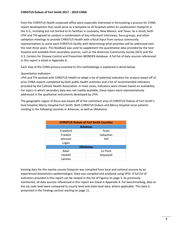#### **CHRISTUS Dubuis of Fort Smith 2017 – 2019 CHNA**

from the CHRISTUS Health corporate office were especially interested in formulating a process for CHNA report development that could serve as a template to all hospitals within its southeastern footprint in the U.S., including but not limited to its facilities in Louisiana, New Mexico, and Texas. As a result, both LPHI and THI agreed to conduct a combination of key informant interviews, focus groups, and other validation meetings to provide CHRISTUS Health with critical input from various community representatives to assist each CHRISTUS facility with determining what priorities will be addressed over the next three years. This feedback was used to supplement the quantitative data provided by the host hospital and available from secondary sources, such as the American Community Survey (ACS) and the U.S. Centers for Disease Control and Prevention WONDER database. A full list of data sources referenced in this report is listed in Appendix A.

Each step of the CHNA process essential to this methodology is explained in detail below.

#### *Quantitative Indicators*

LPHI and THI worked with CHRISTUS Health to adapt a list of potential indicators for analysis based off of prior CHNA reports completed by both public health institutes and a list of recommended indicators provided by the Catholic Health Association. In most cases, indicators were chosen based on availability. For topics in which secondary data was not readily available, these topics were representatively addressed in the qualitative instruments developed by LPHI.

The geographic region of focus was based off of the catchment area of CHRISTUS Dubuis of Fort Smith's host hospital, Mercy Hospital Fort Smith. Both CHRISTUS Dubuis and Mercy Hospital serve patients residing in the following counties in Arkansas, as well as Oklahoma.

| <b>CHRISTUS Dubuis of Fort Smith Counties</b> |           |  |
|-----------------------------------------------|-----------|--|
| <b>Arkansas</b>                               |           |  |
| Crawford                                      | Scott     |  |
| Franklin                                      | Sebastian |  |
| Johnson                                       | Yell      |  |
| Logan                                         |           |  |
| <b>Oklahoma</b>                               |           |  |
| Adair                                         | Le Flore  |  |
| Haskell                                       | Sequoyah  |  |
| Latimer                                       |           |  |

Existing data for this twelve-county footprint was compiled from local and national sources by an experienced biostatistics epidemiologist. Data was compiled and analyzed using SPSS. A full list of indicators provided in this report can be viewed in the list of Figures on page 3. As previously mentioned, all data sources referenced in this report are listed in Appendix A. For benchmarking, data at the zip code level were compared to county level and state level data, where applicable. This data is presented in the Findings section starting on page 11.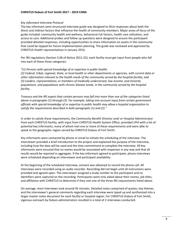#### *Key Informant Interview Protocol*

The key informant semi-structured interview guide was designed to illicit responses about both the direct and indirect factors that influence the health of community members. Major areas of focus of the guide included: community health and wellness, behavioral risk factors, health care utilization, and access to care. Additional probes and follow up questions were designed to ensure the participant provided detailed responses, including opportunities to share information on assets in the community that could be tapped for future implementation planning. The guide was reviewed and approved by CHRISTUS Health representatives in January 2016.

Per IRS regulations (Section 3.06 of Notice 2011-52), each facility must get input from people who fall into each of these three categories:

#### *"(1) Persons with special knowledge of or expertise in public health;*

*(2) Federal, tribal, regional, State, or local health or other departments or agencies, with current data or other information relevant to the health needs of the community served by the hospital facility; and (3) Leaders, representatives, or members of medically underserved, low-income, and minority populations, and populations with chronic disease needs, in the community served by the hospital facility.* 

*Treasury and the IRS expect that certain persons may fall into more than one of the categories listed above in paragraphs (1) through (3). For example, taking into account input from certain government officials with special knowledge of or expertise in public health may allow a hospital organization to satisfy the requirements described in both paragraphs (1) and (2)."* 

In order to satisfy these requirements, the Community Benefit Director and/ or Hospital Administrator from each CHRISTUS facility, with input from CHRISTUS Health System Office, provided LPHI with a list of potential key informants, many of whom met one or more of these requirements and were able to speak to the geographic region served by CHRISTUS Dubuis of Fort Smith.

Key informants were contacted by phone or email to initiate the scheduling of the interview. The interviewer provided a brief introduction to the project and explained the purpose of the interview, including how the data will be used and the time commitment to complete the interview. All key informants were ensured that no names would be associated with responses in any way and that all results would be reported in aggregate. If the key informant agreed to participate, phone interviews were scheduled depending on interviewer and participant availability.

At the beginning of the scheduled interview, consent was obtained to record the phone call. All interviews were recorded using an audio recorder. Recording did not begin until all instructions were provided and agreed upon. The interviewer assigned a study number to the participant and no identifiers were captured on the recording. Participants were only asked about their names, job titles, and affiliation with CHRISTUS to determine if they met one of the three IRS requirements listed above.

On average, most Interviews took around 45 minutes. Detailed notes comprised of quotes, key themes, and the interviewer's general comments regarding each interview were typed up and synthesized into a larger master notes document for each facility or hospital region. For CHRISTUS Dubuis of Fort Smith, vigorous outreach by Dubuis administrators resulted in a total of 2 interviews conducted.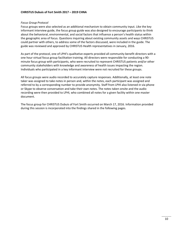#### *Focus Group Protocol*

Focus groups were also selected as an additional mechanism to obtain community input. Like the key informant interview guide, the focus group guide was also designed to encourage participants to think about the behavioral, environmental, and social factors that influence a person's health status within the geographic area of focus. Questions inquiring about existing community assets and ways CHRISTUS could partner with others, to address some of the factors discussed, were included in the guide. The guide was reviewed and approved by CHRISTUS Health representatives in January, 2016.

As part of the protocol, one of LPHI's qualitative experts provided all community benefit directors with a one hour virtual focus group facilitation training. All directors were responsible for conducting a 90 minute focus group with participants, who were recruited to represent CHRISTUS patients and/or other community stakeholders with knowledge and awareness of health issues impacting the region. Individuals who participated in a key informant interview were not recruited for these groups.

All focus groups were audio recorded to accurately capture responses. Additionally, at least one note taker was assigned to take notes in person and, within the notes, each participant was assigned and referred to by a corresponding number to provide anonymity. Staff from LPHI also listened in via phone or Skype to observe conversation and take their own notes. The notes taken onsite and the audio recording were then provided to LPHI, who combined all notes for a given facility within one master document.

The focus group for CHRISTUS Dubuis of Fort Smith occurred on March 17, 2016. Information provided during this session is incorporated into the findings shared in the following pages.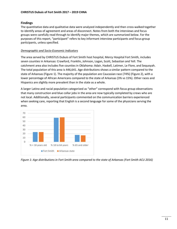### **Findings**

The quantitative data and qualitative data were analyzed independently and then cross-walked together to identify areas of agreement and areas of disconnect. Notes from both the interviews and focus groups were carefully read through to identify major themes, which are summarized below. For the purposes of this report, "participant" refers to key informant interview participants and focus group participants, unless specified.

#### *Demographic and Socio-Economic Indicators*

The area served by CHRISTUS Dubuis of Fort Smith host hospital, Mercy Hospital Fort Smith, includes seven counties in Arkansas: Crawford, Franklin, Johnson, Logan, Scott, Sebastian and Yell. The catchment area also includes five counties in Oklahoma: Adair, Haskell, Latimer, Le Flore, and Sequoyah. The total population of this area is 446,641. Age distributions shows a similar pattern compared to the state of Arkansas (Figure 1). The majority of the population are Caucasian race (74%) (Figure 2), with a lower percentage of African Americans compared to the state of Arkansas (3% vs 15%). Other races and Hispanics are slightly more prevalent than in the state as a whole.

A larger Latino and racial population categorized as "other" correspond with focus group observations that many construction and blue collar jobs in the area are now typically completed by crews who are not local. Additionally, several participants commented on the communication barriers experienced when seeking care, reporting that English is a second language for some of the physicians serving the area.



*Figure 1: Age distributions in Fort Smith area compared to the state of Arkansas (Fort Smith ACU 2016)*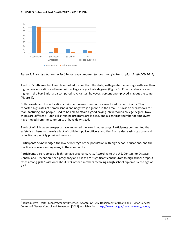

*Figure 2: Race distributions in Fort Smith area compared to the state of Arkansas (Fort Smith ACU 2016)*

The Fort Smith area has lower levels of education than the state, with greater percentage with less than high school education and fewer with college are graduate degrees (Figure 3). Poverty rates are also higher in the Fort Smith area compared to Arkansas; however, percent unemployed is about the same (Figure 4).

Both poverty and low education attainment were common concerns listed by participants. They reported high rates of homelessness and negative job growth in the area. This was an area known for manufacturing and people used to be able to attain a good paying job without a college degree. Now things are different—job/ skills training programs are lacking, and a significant number of employers have moved from the community or have downsized.

The lack of high wage prospects have impacted the area in other ways. Participants commented that safety is an issue as there is a lack of sufficient police officers resulting from a decreasing tax base and reduction of publicly provided services.

Participants acknowledged the low percentage of the population with high school educations, and the low literacy levels among many in the community.

Participants also reported a high teenage pregnancy rate. According to the U.S. Centers for Disease Control and Prevention, teen pregnancy and births are "significant contributors to high school dropout rates among girls," with only about 50% of teen mothers receiving a high school diploma by the age of 22.<sup>5</sup>

l

<sup>&</sup>lt;sup>5</sup> Reproductive Health: Teen Pregnancy [Internet]. Atlanta, GA: U.S. Department of Health and Human Services, Centers of Disease Control and Prevention [2016]. Available from[: http://www.cdc.gov/teenpregnancy/about/.](http://www.cdc.gov/teenpregnancy/about/)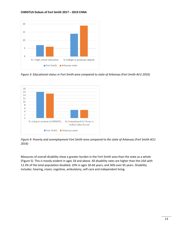

*Figure 3: Educational status in Fort Smith area compared to state of Arkansas (Fort Smith ACU 2016)*



*Figure 4: Poverty and unemployment Fort Smith area compared to the state of Arkansas (Fort Smith ACU 2016)*

Measures of overall disability show a greater burden in the Fort Smith area than the state as a whole (Figure 5). This is mostly evident in ages 18 and above. All disability rates are higher than the USA with 12.3% of the total population disabled, 10% in ages 18-64 years, and 36% over 65 years. Disability includes: hearing, vision, cognitive, ambulatory, self-care and independent living.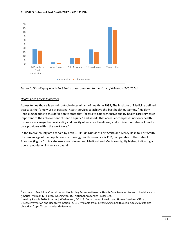

*Figure 5: Disability by age in Fort Smith area compared to the state of Arkansas (ACS 2014)*

#### *Health Care Access Indicators*

l

Access to healthcare is an indisputable determinant of health. In 1993, The Institute of Medicine defined access as the "timely use of personal health services to achieve the best health outcomes."<sup>6</sup> Healthy People 2020 adds to this definition to state that "access to comprehensive quality health care services is important to the achievement of health equity," and asserts that access encompasses not only health insurance coverage, but availability and quality of services, timeliness, and sufficient numbers of health care providers within the workforce.<sup>7</sup>

In the twelve-county area served by both CHRISTUS Dubuis of Fort Smith and Mercy Hospital Fort Smith, the percentage of the population who have no health insurance is 11%, comparable to the state of Arkansas (Figure 6). Private insurance is lower and Medicaid and Medicare slightly higher, indicating a poorer population in the area overall.

<sup>&</sup>lt;sup>6</sup> Institute of Medicine, Committee on Monitoring Access to Personal Health Care Services. Access to health care in America. Millman M, editor. Washington, DC: National Academies Press; 1993

<sup>&</sup>lt;sup>7</sup> Healthy People 2020 [Internet]. Washington, DC: U.S. Department of Health and Human Services, Office of Disease Prevention and Health Promotion [2016]. Available from: https://www.healthypeople.gov/2020/topicsobjectives/topic/Access-to-Health-Services.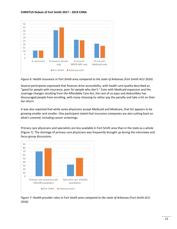

*Figure 6: Health insurance in Fort Smith area compared to the state of Arkansas (Fort Smith ACU 2016)*

Several participants expressed that finances drive accessibility, with health care quality described as "good for people with insurance, poor for people who don't." Even with Medicaid expansion and the coverage changes resulting from the Affordable Care Act, the cost of co-pays and deductibles has discouraged people from enrolling, with many choosing to rather pay the penalty and take a hit on their tax return.

It was also reported that while some physicians accept Medicaid and Medicare, that list appears to be growing smaller and smaller. One participant stated that insurance companies are also cutting back on what's covered, including cancer screenings.

Primary care physicians and specialists are less available in Fort Smith area than in the state as a whole (Figure 7). The shortage of primary care physicians was frequently brought up during the interviews and focus group discussions.



*Figure 7: Health provider rates in Fort Smith area compared to the state of Arkansas (Fort Smith ACU 2016)*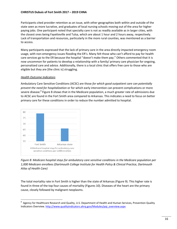#### **CHRISTUS Dubuis of Fort Smith 2017 – 2019 CHNA**

Participants cited provider retention as an issue, with other geographies both within and outside of the state seen as more lucrative, and graduates of local nursing schools moving out of the area for higher paying jobs. One participant noted that specialty care is not as readily available as in larger cities, with the closest ones being Fayetteville and Tulsa, which are about 1 hour and 2 hours away, respectively. Lack of transportation and resources, particularly in the more rural counties, was mentioned as a barrier to access.

Many participants expressed that the lack of primary care in the area directly impacted emergency room usage, with non-emergency issues flooding the ER's. Many felt those who can't afford to pay for health care services go to the ER because the hospital "doesn't make them pay." Others commented that it is now uncommon for patients to develop a relationship with a family/ primary care physician for ongoing, personalized care and advice. Additionally, there is a local clinic that offers free care to those who are eligible but they are [the clinic is] struggling.

#### *Health Outcome Indicators*

l

Ambulatory Care Sensitive Conditions (ACSC) are those *for which good outpatient care can potentially prevent the need for hospitalization* or for which early intervention can prevent complications or more severe disease.<sup>8</sup> Figure 8 shows that in the Medicare population, a much greater rate of admissions due to ACSC are found in the Fort Smith area compared to Arkansas. This indicates a need to focus on better primary care for these conditions in order to reduce the number admitted to hospital.



*Figure 8: Medicare hospital stays for ambulatory care sensitive conditions in the Medicare population per 1,000 Medicare enrollees (Dartmouth College Institute for Health Policy & Clinical Practice, Dartmouth Atlas of Health Care)*

The total mortality rate in Fort Smith is higher than the state of Arkansas (Figure 9). This higher rate is found in three of the top four causes of mortality (Figures 10). Diseases of the heart are the primary cause, closely followed by malignant neoplasms.

 $^8$  Agency for Healthcare Research and Quality, U.S. Department of Health and Human Services, Prevention Quality Indicators Overview. [http://www.qualityindicators.ahrq.gov/Modules/pqi\\_overview.aspx](http://www.qualityindicators.ahrq.gov/Modules/pqi_overview.aspx)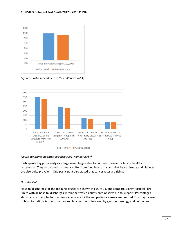

*Figure 9: Total mortality rate (CDC Wonder 2014)*



*Figure 10: Mortality rates by cause (CDC Wonder 2014)*

Participants flagged obesity as a large issue, largely due to poor nutrition and a lack of healthy restaurants. They also noted that many suffer from food insecurity, and that heart disease and diabetes are also quite prevalent. One participant also stated that cancer rates are rising.

#### *Hospital Data*

Hospital discharges for the top nine causes are shown in Figure 11, and compare Mercy Hospital Fort Smith with all hospital discharges within the twelve-county area observed in this report. Percentages shown are of the total for the nine causes only, births and pediatric causes are omitted. The major cause of hospitalizations is due to cardiovascular conditions, followed by gastroenterology and pulmonary.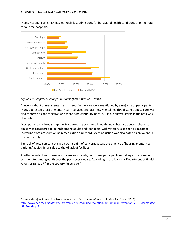Mercy Hospital Fort Smith has markedly less admissions for behavioral health conditions than the total for all area hospitals.



### *Figure 11: Hospital discharges by cause (Fort Smith ACU 2016)*

 $\overline{\phantom{a}}$ 

Concerns about unmet mental health needs in the area were mentioned by a majority of participants. Many expressed a lack of mental health services and facilities. Mental health/substance abuse care was also reported as not cohesive, and there is no continuity of care. A lack of psychiatrists in the area was also noted.

Most participants brought up the link between poor mental health and substance abuse. Substance abuse was considered to be high among adults and teenagers, with veterans also seen as impacted (suffering from prescription pain medication addiction). Meth addiction was also noted as prevalent in the community.

The lack of detox units in this area was a point of concern, as was the practice of housing mental health patients/ addicts in jails due to the of lack of facilities.

Another mental health issue of concern was suicide, with some participants reporting an increase in suicide rates among youth over the past several years. According to the Arkansas Department of Health, Arkansas ranks  $17<sup>th</sup>$  in the country for suicide.<sup>9</sup>

<sup>&</sup>lt;sup>9</sup> Statewide Injury Prevention Program, Arkansas Department of Health. Suicide Fact Sheet [2016]. [http://www.healthy.arkansas.gov/programsServices/injuryPreventionControl/injuryPrevention/SIPP/Documents/S](http://www.healthy.arkansas.gov/programsServices/injuryPreventionControl/injuryPrevention/SIPP/Documents/SIPP_Suicide.pdf) [IPP\\_Suicide.pdf](http://www.healthy.arkansas.gov/programsServices/injuryPreventionControl/injuryPrevention/SIPP/Documents/SIPP_Suicide.pdf)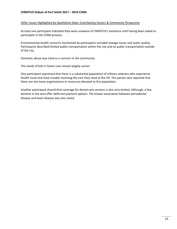#### *Other Issues Highlighted by Qualitative Data: Contributing Factors & Community Perspective*

At least one participant indicated they were unaware of CHRISTUS's existence until having been asked to participate in the CHNA process.

Environmental health concerns mentioned by participants included sewage issues and water quality. Participants described limited public transportation within the city and no public transportation outside of the city.

Domestic abuse was cited as a concern in the community.

The needs of kids in foster care remain largely unmet.

One participant expressed that there is a substantial population of military veterans who experience health issues but have trouble receiving the care they need at the VA. This person also reported that there are not many organizations or resources devoted to this population.

Another participant shared that coverage for dental care services is also very limited. Although, a few dentists in the area offer deferred payment options. The known association between periodontal disease and heart disease was also noted.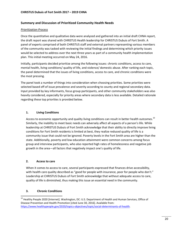### **Summary and Discussion of Prioritized Community Health Needs**

#### *Prioritization Process*

Once the quantitative and qualitative data were analyzed and gathered into an initial draft CHNA report, the draft report was shared with CHRISTUS Health leadership for CHRISTUS Dubuis of Fort Smith. A panel of experts comprised of both CHRISTUS staff and external partners representing various members of the community was tasked with reviewing the initial findings and determining which priority issues would be selected to address over the next three years as part of a community health implementation plan. This initial meeting occurred on May 24, 2016.

Initially, participants decided prioritize among the following issues: chronic conditions, access to care, mental health, living conditions/ quality of life, and violence/ domestic abuse. After ranking each topic, the panel determined that the issues of living conditions, access to care, and chronic conditions were the most pressing.

The panel took a number of things into consideration when choosing priorities. Some priorities were selected based off of issue prevalence and severity according to county and regional secondary data. Input provided by key informants, focus group participants, and other community stakeholders was also heavily considered, especially for priority areas where secondary data is less available. Detailed rationale regarding these top priorities is provided below.

### **1. Living Conditions**

Access to economic opportunity and quality living conditions can result in better health outcomes.<sup>10</sup> Similarly, the inability to meet basic needs can adversely affect all aspects of a person's life. While leadership at CHRISTUS Dubuis of Fort Smith acknowledge that their ability to directly improve living conditions for Fort Smith residents is limited at best, they realize reduced quality of life is a community issue that could not be ignored. Poverty levels in the Fort Smith area are higher than the state. Additionally, poverty and low education attainment were common concerns among focus group and interview participants, who also reported high rates of homelessness and negative job growth in the area—all factors that negatively impact one's quality of life.

#### **2. Access to care**

When it comes to access to care, several participants expressed that finances drive accessibility, with health care quality described as "good for people with insurance, poor for people who don't." Leadership at CHRISTUS Dubuis of Fort Smith acknowledge that without adequate access to care, quality of life is diminished, thus making this issue an essential need in the community.

#### **3. Chronic Conditions**

 $\overline{\phantom{a}}$ <sup>10</sup> Healthy People 2020 [Internet]. Washington, DC: U.S. Department of Health and Human Services, Office of Disease Prevention and Health Promotion [cited June 30, 2016]. Available from: [https://www.healthypeople.gov/2020/topics-objectives/topic/social-determinants-of-health.](https://www.healthypeople.gov/2020/topics-objectives/topic/social-determinants-of-health)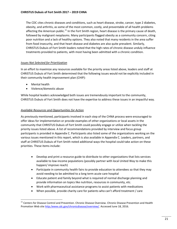The CDC cites chronic diseases and conditions, such as heart disease, stroke, cancer, type 2 diabetes, obesity, and arthritis, as some of the most common, costly, and preventable of all health problems affecting the American public.<sup>11</sup> In the Fort Smith region, heart disease is the primary cause of death, followed by malignant neoplasms. Many participants flagged obesity as a community concern, citing poor nutrition and a lack of healthy options. They also noted that many residents in the area suffer from food insecurity, and that heart disease and diabetes are also quite prevalent. Similarly, CHRISTUS Dubuis of Fort Smith leaders noted that the high rates of chronic disease unduly influence treatments provided to patients, with most having been admitted with a chronic condition.

### *Issues Not Selected for Prioritization*

In an effort to maximize any resources available for the priority areas listed above, leaders and staff at CHRISTUS Dubuis of Fort Smith determined that the following issues would not be explicitly included in their community health improvement plan (CHIP):

Mental health

l

Violence/domestic abuse

While hospital leaders acknowledged both issues are tremendously important to the community, CHRISTUS Dubuis of Fort Smith does not have the expertise to address these issues in an impactful way.

# *Available Resources and Opportunities for Action*

As previously mentioned, participants involved in each step of the CHNA process were encouraged to offer ideas for implementation or provide examples of other organizations or local assets in the community that CHRISTUS Dubuis of Fort Smith could possibly engage or utilize when tackling the priority issues listed above. A list of recommendations provided by interview and focus group participants is provided in Appendix C. Participants also listed some of the organizations working on the various issues mentioned in this report, which is also available in Appendix C. Leaders, partners, and staff at CHRISTUS Dubuis of Fort Smith noted additional ways the hospital could take action on these priorities. These items include:

- Develop and print a resource guide to distribute to other organizations that lists services available to low-income populations (possibly partner with local United Way to make this happen/ improve reach)
- Participate in community health fairs to provide education to attendees so that they may avoid needing to be admitted to a long term acute care hospital
- Educate patient and family beyond what is required of normal discharge planning and provide information on topics like nutrition, resources in community, etc.
- Work with pharmaceutical assistance programs to assist patients with medications
- When possible, provide charity care for patients who can't afford treatment / care

<sup>&</sup>lt;sup>11</sup> Centers for Disease Control and Prevention. Chronic Disease Overview. Chronic Disease Prevention and Health Promotion Web site [http:/www.cdc.gov/chronicdisease/overview/.](http://www.cdc.gov/chronicdisease/overview/) Accessed June 18, 2016.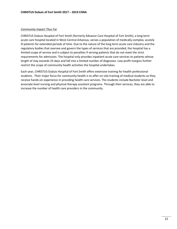#### *Community Impact Thus Far*

CHRISTUS Dubuis Hospital of Fort Smith (formerly Advance Care Hospital of Fort Smith), a long term acute care hospital located in West-Central Arkansas, serves a population of medically complex, acutely ill patients for extended periods of time. Due to the nature of the long term acute care industry and the regulatory bodies that oversee and govern the types of services that are provided, the hospital has a limited scope of service and is subject to penalties if serving patients that do not meet the strict requirements for admission. The hospital only provides inpatient acute care services to patients whose length of stay exceeds 25 days and fall into a limited number of diagnoses. Low profit margins further restrict the scope of community health activities the hospital undertakes.

Each year, CHRISTUS Dubuis Hospital of Fort Smith offers extensive training for health professional students. Their major focus for community health is to offer on-site training of medical students so they receive hands-on experience in providing health care services. The students include Bachelor level and associate level nursing and physical therapy assistant programs. Through their services, they are able to increase the number of health care providers in the community.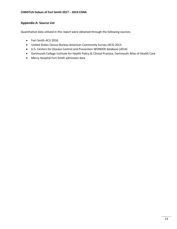#### **CHRISTUS Dubuis of Fort Smith 2017 – 2019 CHNA**

# **Appendix A: Source List**

Quantitative data utilized in this report were obtained through the following sources:

- Fort Smith ACU 2016
- United States Census Bureau American Community Survey (ACS) 2013
- U.S. Centers for Disease Control and Prevention WONDER database (2014)
- Dartmouth College Institute for Health Policy & Clinical Practice, Dartmouth Atlas of Health Care
- Mercy Hospital Fort Smith admission data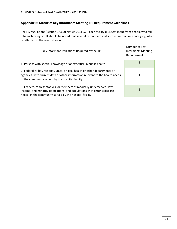#### **CHRISTUS Dubuis of Fort Smith 2017 – 2019 CHNA**

# **Appendix B: Matrix of Key Informants Meeting IRS Requirement Guidelines**

Per IRS regulations (Section 3.06 of Notice 2011-52), each facility must get input from people who fall into each category. It should be noted that several respondents fall into more than one category, which is reflected in the counts below.

| Key Informant Affiliations Required by the IRS                                                                                                                                                                    | Number of Key<br><b>Informants Meeting</b><br>Requirement |
|-------------------------------------------------------------------------------------------------------------------------------------------------------------------------------------------------------------------|-----------------------------------------------------------|
| 1) Persons with special knowledge of or expertise in public health                                                                                                                                                | 2                                                         |
| 2) Federal, tribal, regional, State, or local health or other departments or<br>agencies, with current data or other information relevant to the health needs<br>of the community served by the hospital facility |                                                           |
| 3) Leaders, representatives, or members of medically underserved, low-<br>income, and minority populations, and populations with chronic disease<br>needs, in the community served by the hospital facility       | 2                                                         |